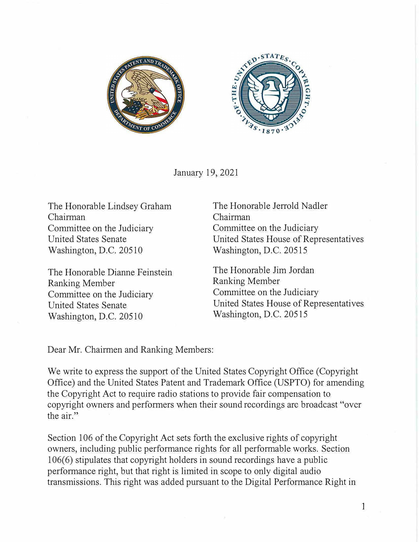



January 19, 2021

The Honorable Lindsey Graham Chairman Committee on the Judiciary Committee on the Judiciary United States Senate Washington, D.C. 20510

The Honorable Dianne Feinstein Ranking Member Committee on the Judiciary Committee on the Judiciary United States Senate Washington, D.C. 20510

The Honorable Jerrold Nadler Chairman United States House of Representatives Washington, D.C. 20515

The Honorable Jim Jordan Ranking Member United States House of Representatives Washington, D.C. 20515

Dear Mr. Chairmen and Ranking Members:

We write to express the support of the United States Copyright Office (Copyright Office) and the United States Patent and Trademark Office (USPTO) for amending the Copyright Act to require radio stations to provide fair compensation to copyright owners and performers when their sound recordings arc broadcast "over the air."

Section 106 of the Copyright Act sets forth the exclusive rights of copyright owners, including public performance rights for all performable works. Section 106(6) stipulates that copyright holders in sound recordings have a public performance right, but that right is limited in scope to only digital audio transmissions. This right was added pursuant to the Digital Performance Right in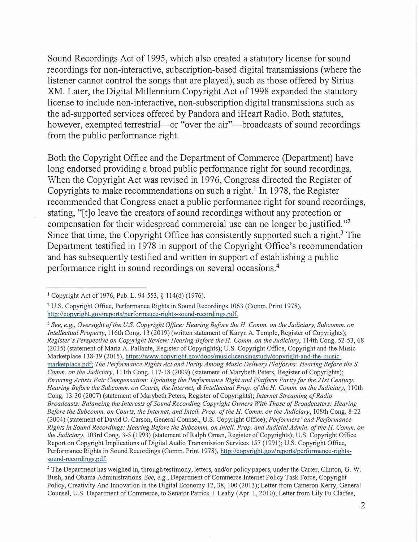Sound Recordings Act of 1995, which also created a statutory license for sound recordings for non-interactive, subscription-based digital transmissions (where the listener cannot control the songs that are played), such as those offered by Sirius XM. Later, the Digital Millennium Copyright Act of 1998 expanded the statutory license to include non-interactive, non-subscription digital transmissions such as the ad-supported services offered by Pandora and iHeart Radio. Both statutes, however, exempted terrestrial—or "over the air"—broadcasts of sound recordings from the public performance right.

Both the Copyright Office and the Department of Commerce (Department) have long endorsed providing a broad public performance right for sound recordings. When the Copyright Act was revised in 1976, Congress directed the Register of Copyrights to make recommendations on such a right.<sup>1</sup> In 1978, the Register recommended that Congress enact a public performance right for sound recordings, stating, "[t]o leave the creators of sound recordings without any protection or compensation for their widespread commercial use can no longer be justified. " 2 Since that time, the Copyright Office has consistently supported such a right.<sup>3</sup> The Department testified in 1978 in support of the Copyright Office's recommendation and has subsequently testified and written in support of establishing a public performance right in sound recordings on several occasions.<sup>4</sup>

<sup>3</sup>*See, e.g., Oversight of the U.S. Copyright Office: Hearing Before the H. Comm. on the Judiciary, Subcomm. on Intellectual Property,* 116th Cong. 13 (2019) (written statement of Karyn A. Temple, Register of Copyrights); *Register's Perspective on Copyright Review: Hearing Before the H. Comm. on the Judiciary,* 114th Cong. 52-53, 68 (2015) (statement of Maria A. Pallante, Register of Copyrights); U.S. Copyright Office, Copyright and the Music Marketplace 138-39 (2015), https://www.copyright.gov/docs/musiclicensingstudy/copyright-and-the-musicmarketplace.pdf; *The Performance Rights Act and Parity Among Music Delivery Platforms: Hearing Before the S. Comm. on the Judiciary, 111th Cong. 117-18 (2009) (statement of Marybeth Peters, Register of Copyrights); Ensuring Artists Fair Compensation: Updating the Performance Right and Platform Parity for the 21st Century:* Hearing Before the Subcomm. on Courts, the Internet, & Intellectual Prop. of the H. Comm. on the Judiciary, 110th Cong. 13-30 (2007) (statement of Marybeth Peters, Register of Copyrights); *Internet Streaming of Radio Broadcasts: Balancing the Interests of Sound Recording Copyright Owners With Those of Broadcasters: Hearing Before the Subcomm. on Courts, the Internet, and Intel!. Prop. of the H. Comm. on the Judiciary,* 108th Cong. 8-22 (2004) (statement of David 0. Carson, General Counsel, U.S. Copyright Office); *Performers' and Performance Rights in Sound Recordings: Hearing Before the Subcomm. on In tell. Prop. and Judicial Admin. of the H. Comm. on the Judiciary,* 103rd Cong. 3-5 (1993) (statement of Ralph Oman, Register of Copyrights); U.S. Copyright Office Report on Copyright Implications of Digital Audio Transmission Services 157 (1991 ); U.S. Copyright Office, Performance Rights in Sound Recordings (Comm. Print 1978), [http://copyright.gov/reports/performance-rights](https://copyright.gov/reports/performance-rights-sound-recordings.pdf)[sound-recordings.pdf.](https://copyright.gov/reports/performance-rights-sound-recordings.pdf) 

<sup>4</sup>The Department has weighed in, through testimony, letters, and/or policy papers, under the Carter, Clinton, G. W. Bush, and Obama Administrations. *See, e.g.,* Department of Commerce Internet Policy Task Force, Copyright Policy, Creativity And Innovation in the Digital Economy 12, 38, 100 (2013); Letter from Cameron Kerry, General Counsel, U.S. Department of Commerce, to Senator Patrick J. Leahy (Apr. 1, 2010); Letter from Lily Fu Claffee,

<sup>1</sup>Copyright Act of 1976, Pub. L. 94-553, *§* l 14(d) (1976).

<sup>&</sup>lt;sup>2</sup> U.S. Copyright Office, Performance Rights in Sound Recordings 1063 (Comm. Print 1978), http://copyright.gov/reports/performance-rights-sound-recordings.pdf.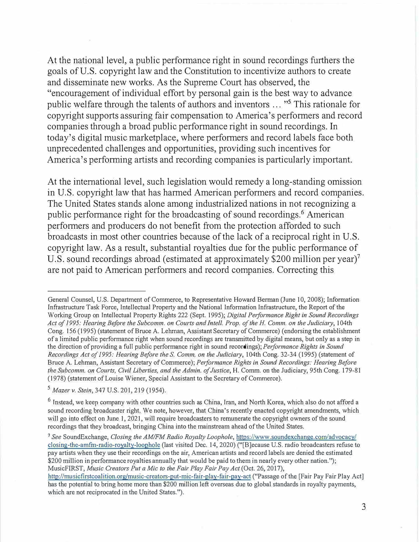At the national level, a public performance right in sound recordings furthers the goals of U.S. copyright law and the Constitution to incentivize authors to create and disseminate new works. As the Supreme Court has observed, the "encouragement of individual effort by personal gain is the best way to advance public welfare through the talents of authors and inventors ... "<sup>5</sup> This rationale for copyright supports assuring fair compensation to America's performers and record companies through a broad public performance right in sound recordings. In today's digital music marketplace, where performers and record labels face both unprecedented challenges and opportunities, providing such incentives for America's performing artists and recording companies is particularly important.

At the international level, such legislation would remedy a long-standing omission in U.S. copyright law that has harmed American performers and record companies. The United States stands alone among industrialized nations in not recognizing a public performance right for the broadcasting of sound recordings.<sup>6</sup> American performers and producers do not benefit from the protection afforded to such broadcasts in most other countries because of the lack of a reciprocal right in U.S. copyright law. As a result, substantial royalties due for the public performance of U.S. sound recordings abroad (estimated at approximately \$200 million per year)<sup>7</sup> are not paid to American performers and record companies. Correcting this

3

General Counsel, U.S. Department of Commerce, to Representative Howard Berman (June 10, 2008); Information Infrastructure Task Force, Intellectual Property and the National Information Infrastructure, the Report of the Working Group on Inte1lectual Property Rights 222 (Sept. 1995); *Digital Performance Right in Sound Recordings*  Act of 1995: Hearing Before the Subcomm. on Courts and Intell. Prop. of the H. Comm. on the Judiciary, 104th Cong. 156 (1995) (statement of Bruce A. Lehman, Assistant Secretary of Commerce) (endorsing the establishment of a limited public performance right when sound recordings are transmitted by digital means, but only as a step in the direction of providing a full public performance right in sound recordings); Performance Rights in Sound *Recordings Act of 1995: Hearing Before the* S. *Comm. on the Judiciary,* 104th Cong. 32-34 (1995) (statement of Bruce A. Lehman, Assistant Secretary of Commerce); *Performance Rights in Sound Recordings: Hearing Before the Subcomm. on Courts, Civil Liberties, and the Admin. of Justice,* H. Comm. on the Judiciary, 95th Cong. 179-81 (1978) (statement of Louise Wiener, Special Assistant to the Secretary of Commerce).

*<sup>5</sup>Mazer v. Stein,* 347 U.S. 201,219 (1954).

<sup>6</sup> Instead, we keep company with other countries such as China, Iran, and North Korea, which also do not afford a sound recording broadcaster right. We note, however, that China's recently enacted copyright amendments, which will go into effect on June 1, 2021, will require broadcasters to remunerate the copyright owners of the sound recordings that they broadcast, bringing China into the mainstream ahead of the United States.

<sup>7</sup>*See* SoundExchange, *Closing the AM/FM Radio Royalty Loophole,* [https://www.soundexchange.com/advocacy/](https://www.soundexchange.com/advocacy/closing-the-amfm-radio-royalty-loophole/)  [closing-the-arnfm-radio-royalty-loophole](https://www.soundexchange.com/advocacy/closing-the-amfm-radio-royalty-loophole/) (last visited Dec. 14, 2020) ("[B]ecause U.S. radio broadcasters refuse to pay artists when they use their recordings on the air, American artists and record labels are denied the estimated \$200 million in performance royalties annually that would be paid to them in nearly every other nation."); MusicFIRST, *Music Creators Put a Mic to the Fair Play Fair Pay Act* (Oct. 26, 2017),

[http://musicfirstcoalition.org/music-creators-put-mic-fair-play-fair-pay-act](http://musicfirstcoalition.org/music-creators-put-mic-fair-play-fair-pay-act/) ("Passage of the [Fair Pay Fair Play Act] has the potential to bring home more than \$200 million left overseas due to global standards in royalty payments, which are not reciprocated in the United States.").